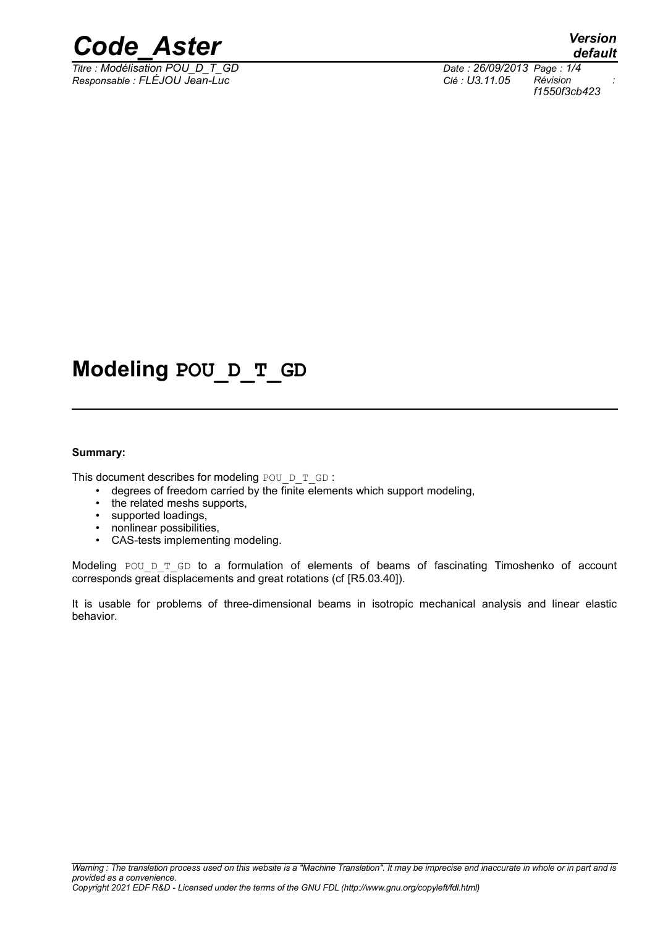

*<i>Titre : Modélisation POU\_D\_T\_GD Responsable : FLÉJOU Jean-Luc Clé : U3.11.05 Révision :*

*f1550f3cb423*

### **Modeling POU\_D\_T\_GD**

#### **Summary:**

This document describes for modeling POU  $D$   $T$  GD :

- $\bullet$  degrees of freedom carried by the finite elements which support modeling,
- the related meshs supports,
- supported loadings,
- nonlinear possibilities,
- CAS-tests implementing modeling.

Modeling POU D  $T$  GD to a formulation of elements of beams of fascinating Timoshenko of account corresponds great displacements and great rotations (cf [R5.03.40]).

It is usable for problems of three-dimensional beams in isotropic mechanical analysis and linear elastic behavior.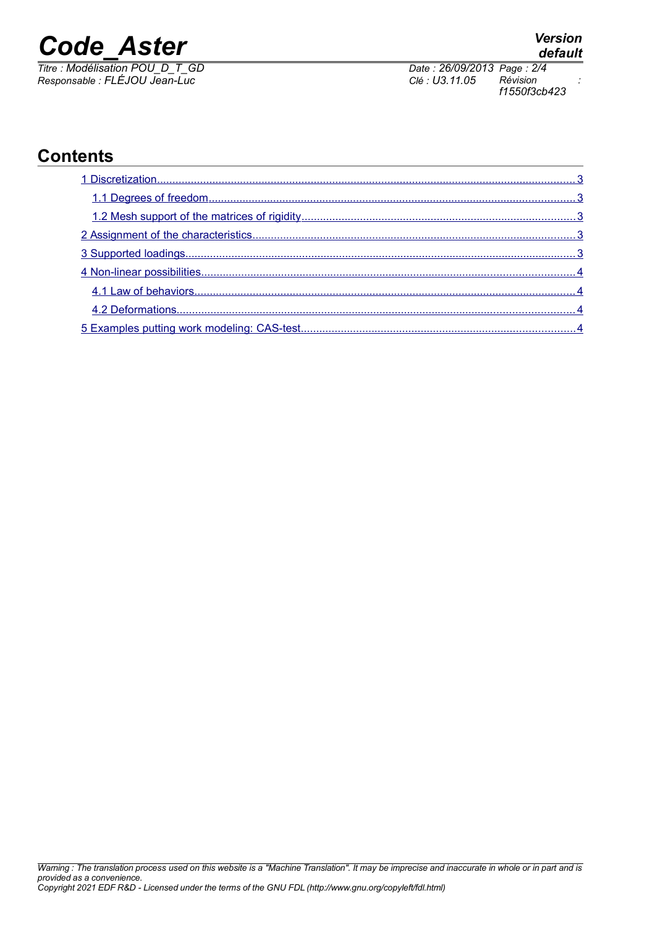# *Code\_Aster Version*

*Titre : Modélisation POU\_D\_T\_GD Date : 26/09/2013 Page : 2/4 Responsable : FLÉJOU Jean-Luc Clé : U3.11.05 Révision :*

*default*

*f1550f3cb423*

### **Contents**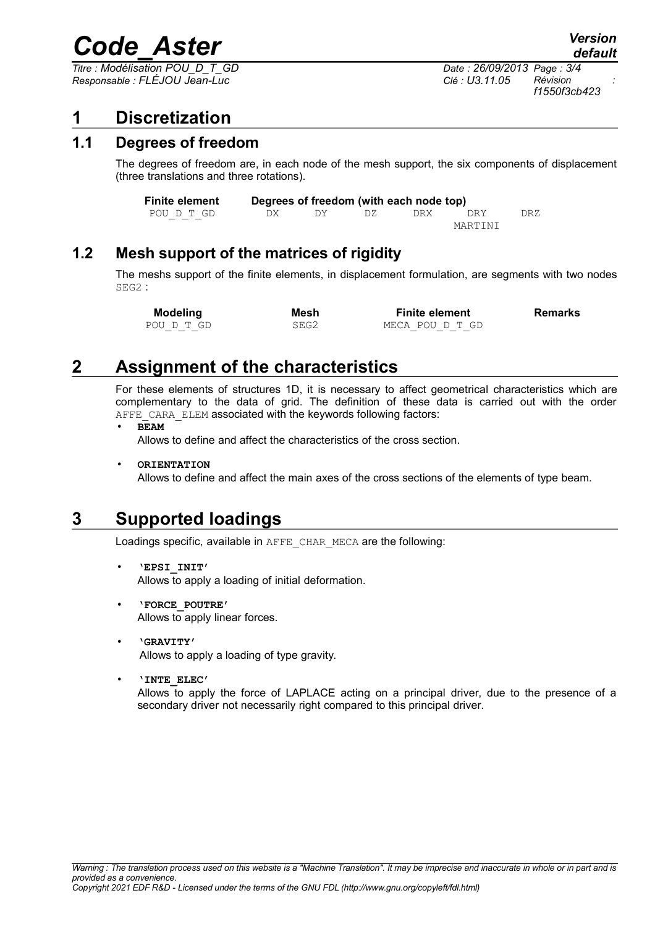## *Code\_Aster Version*

*Titre : Modélisation POU\_D\_T\_GD Date : 26/09/2013 Page : 3/4 Responsable : FLÉJOU Jean-Luc Clé : U3.11.05 Révision :*

#### <span id="page-2-4"></span>**1 Discretization**

#### **1.1 Degrees of freedom**

<span id="page-2-3"></span>The degrees of freedom are, in each node of the mesh support, the six components of displacement (three translations and three rotations).

| <b>Finite element</b> |     |      |     | Degrees of freedom (with each node top) |            |      |
|-----------------------|-----|------|-----|-----------------------------------------|------------|------|
| POU D T GD            | DX. | - DY | DZ. | DRX.                                    | <b>DRY</b> | DR Z |
|                       |     |      |     |                                         | MARTINI    |      |

#### **1.2 Mesh support of the matrices of rigidity**

<span id="page-2-2"></span>The meshs support of the finite elements, in displacement formulation, are segments with two nodes SEG2 :

**Modeling Mesh Finite element Remarks** POUD T GD SEG2 MECA POUD T GD

### **2 Assignment of the characteristics**

<span id="page-2-1"></span>For these elements of structures 1D, it is necessary to affect geometrical characteristics which are complementary to the data of grid. The definition of these data is carried out with the order AFFE\_CARA\_ELEM associated with the keywords following factors:

• **BEAM**

Allows to define and affect the characteristics of the cross section.

• **ORIENTATION**

Allows to define and affect the main axes of the cross sections of the elements of type beam.

#### **3 Supported loadings**

<span id="page-2-0"></span>Loadings specific, available in AFFE\_CHAR\_MECA are the following:

- **'EPSI\_INIT'** Allows to apply a loading of initial deformation.
- **'FORCE\_POUTRE'** Allows to apply linear forces.
- **'GRAVITY'** Allows to apply a loading of type gravity.
- **'INTE\_ELEC'** Allows to apply the force of LAPLACE acting on a principal driver, due to the presence of a secondary driver not necessarily right compared to this principal driver.

*default*

*f1550f3cb423*